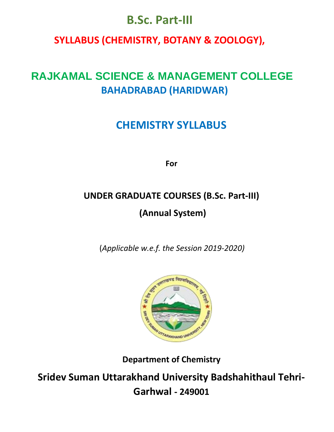# **B.Sc. Part-III**

# **SYLLABUS (CHEMISTRY, BOTANY & ZOOLOGY),**

# **RAJKAMAL SCIENCE & MANAGEMENT COLLEGE BAHADRABAD (HARIDWAR)**

# **CHEMISTRY SYLLABUS**

**For**

# **UNDER GRADUATE COURSES (B.Sc. Part-III) (Annual System)**

(*Applicable w.e.f. the Session 2019-2020)*



**Department of Chemistry** 

**Sridev Suman Uttarakhand University Badshahithaul Tehri-Garhwal - 249001**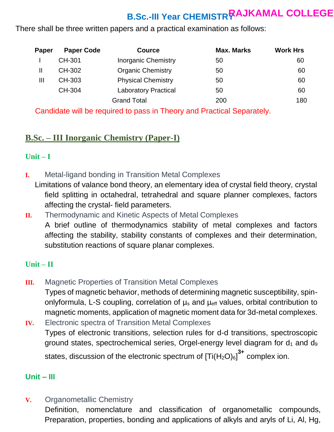# **B.Sc.-III Year CHEMISTRY RAJKAMAL COLLEGE**

There shall be three written papers and a practical examination as follows:

| Paper | <b>Paper Code</b> | <b>Cource</b>               | <b>Max. Marks</b> | <b>Work Hrs</b> |
|-------|-------------------|-----------------------------|-------------------|-----------------|
|       | CH-301            | <b>Inorganic Chemistry</b>  | 50                | 60              |
|       | CH-302            | <b>Organic Chemistry</b>    | 50                | 60              |
| Ш     | CH-303            | <b>Physical Chemistry</b>   | 50                | 60              |
|       | CH-304            | <b>Laboratory Practical</b> | 50                | 60              |
|       |                   | <b>Grand Total</b>          | 200               | 180             |

Candidate will be required to pass in Theory and Practical Separately.

### **B.Sc. – III Inorganic Chemistry (Paper-I)**

### **Unit – I**

- **I.** Metal-ligand bonding in Transition Metal Complexes
- Limitations of valance bond theory, an elementary idea of crystal field theory, crystal field splitting in octahedral, tetrahedral and square planner complexes, factors affecting the crystal- field parameters.
- **II.** Thermodynamic and Kinetic Aspects of Metal Complexes A brief outline of thermodynamics stability of metal complexes and factors affecting the stability, stability constants of complexes and their determination, substitution reactions of square planar complexes.

### **Unit – II**

**III.** Magnetic Properties of Transition Metal Complexes Types of magnetic behavior, methods of determining magnetic susceptibility, spinonlyformula, L-S coupling, correlation of  $\mu_s$  and  $\mu_{\text{eff}}$  values, orbital contribution to magnetic moments, application of magnetic moment data for 3d-metal complexes.

**IV.** Electronic spectra of Transition Metal Complexes Types of electronic transitions, selection rules for d-d transitions, spectroscopic ground states, spectrochemical series, Orgel-energy level diagram for  $d_1$  and  $d_9$ states, discussion of the electronic spectrum of  $[\text{Ti}(\text{H}_2\text{O})_6]^{\text{3+}}$  complex ion.

### **Unit – III**

**V.** Organometallic Chemistry

Definition, nomenclature and classification of organometallic compounds, Preparation, properties, bonding and applications of alkyls and aryls of Li, Al, Hg,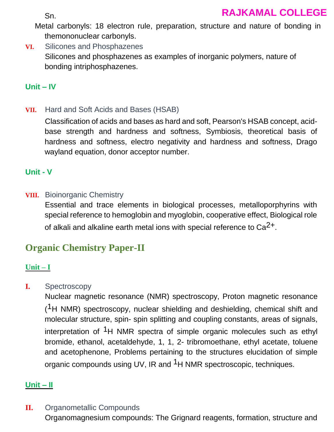Sn.

Metal carbonyls: 18 electron rule, preparation, structure and nature of bonding in themononuclear carbonyls.

**VI.** Silicones and Phosphazenes Silicones and phosphazenes as examples of inorganic polymers, nature of bonding intriphosphazenes.

### **Unit – IV**

**VII.** Hard and Soft Acids and Bases (HSAB)

Classification of acids and bases as hard and soft, Pearson's HSAB concept, acidbase strength and hardness and softness, Symbiosis, theoretical basis of hardness and softness, electro negativity and hardness and softness, Drago wayland equation, donor acceptor number.

### **Unit - V**

### **VIII.** Bioinorganic Chemistry

Essential and trace elements in biological processes, metalloporphyrins with special reference to hemoglobin and myoglobin, cooperative effect, Biological role of alkali and alkaline earth metal ions with special reference to  $Ca<sup>2+</sup>$ .

# **Organic Chemistry Paper-II**

### **Unit – I**

### **I.** Spectroscopy

Nuclear magnetic resonance (NMR) spectroscopy, Proton magnetic resonance  $(1H)$  NMR) spectroscopy, nuclear shielding and deshielding, chemical shift and molecular structure, spin- spin splitting and coupling constants, areas of signals, interpretation of  $1H$  NMR spectra of simple organic molecules such as ethyl bromide, ethanol, acetaldehyde, 1, 1, 2- tribromoethane, ethyl acetate, toluene and acetophenone, Problems pertaining to the structures elucidation of simple organic compounds using UV, IR and <sup>1</sup>H NMR spectroscopic, techniques.

### **Unit – II**

**II.** Organometallic Compounds

Organomagnesium compounds: The Grignard reagents, formation, structure and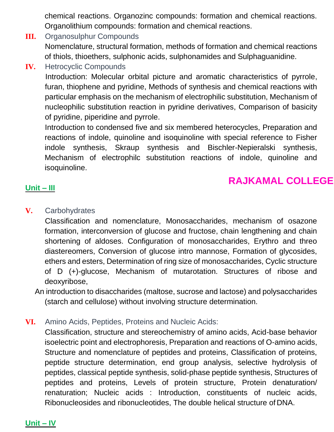chemical reactions. Organozinc compounds: formation and chemical reactions. Organolithium compounds: formation and chemical reactions.

- **III.** Organosulphur Compounds Nomenclature, structural formation, methods of formation and chemical reactions of thiols, thioethers, sulphonic acids, sulphonamides and Sulphaguanidine.
- **IV.** Hetrocyclic Compounds

Introduction: Molecular orbital picture and aromatic characteristics of pyrrole, furan, thiophene and pyridine, Methods of synthesis and chemical reactions with particular emphasis on the mechanism of electrophilic substitution, Mechanism of nucleophilic substitution reaction in pyridine derivatives, Comparison of basicity of pyridine, piperidine and pyrrole.

Introduction to condensed five and six membered heterocycles, Preparation and reactions of indole, quinoline and isoquinoline with special reference to Fisher indole synthesis, Skraup synthesis and Bischler-Nepieralski synthesis, Mechanism of electrophilc substitution reactions of indole, quinoline and isoquinoline.

## **RAJKAMAL COLLEGE**

### **Unit – III**

### **V.** Carbohydrates

Classification and nomenclature, Monosaccharides, mechanism of osazone formation, interconversion of glucose and fructose, chain lengthening and chain shortening of aldoses. Configuration of monosaccharides, Erythro and threo diastereomers, Conversion of glucose intro mannose, Formation of glycosides, ethers and esters, Determination of ring size of monosaccharides, Cyclic structure of D (+)-glucose, Mechanism of mutarotation. Structures of ribose and deoxyribose,

An introduction to disaccharides (maltose, sucrose and lactose) and polysaccharides (starch and cellulose) without involving structure determination.

**VI.** Amino Acids, Peptides, Proteins and Nucleic Acids:

Classification, structure and stereochemistry of amino acids, Acid-base behavior isoelectric point and electrophoresis, Preparation and reactions of O-amino acids, Structure and nomenclature of peptides and proteins, Classification of proteins, peptide structure determination, end group analysis, selective hydrolysis of peptides, classical peptide synthesis, solid-phase peptide synthesis, Structures of peptides and proteins, Levels of protein structure, Protein denaturation/ renaturation; Nucleic acids : Introduction, constituents of nucleic acids, Ribonucleosides and ribonucleotides, The double helical structure of DNA.

### **Unit – IV**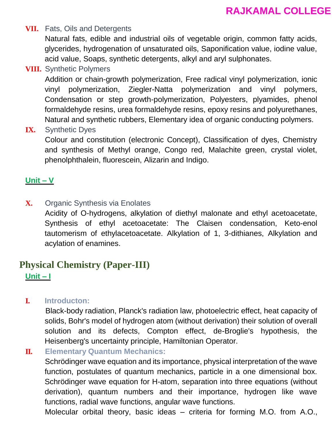#### **VII.** Fats, Oils and Detergents

Natural fats, edible and industrial oils of vegetable origin, common fatty acids, glycerides, hydrogenation of unsaturated oils, Saponification value, iodine value, acid value, Soaps, synthetic detergents, alkyl and aryl sulphonates.

### **VIII.** Synthetic Polymers

Addition or chain-growth polymerization, Free radical vinyl polymerization, ionic vinyl polymerization, Ziegler-Natta polymerization and vinyl polymers, Condensation or step growth-polymerization, Polyesters, plyamides, phenol formaldehyde resins, urea formaldehyde resins, epoxy resins and polyurethanes, Natural and synthetic rubbers, Elementary idea of organic conducting polymers.

### **IX.** Synthetic Dyes

Colour and constitution (electronic Concept), Classification of dyes, Chemistry and synthesis of Methyl orange, Congo red, Malachite green, crystal violet, phenolphthalein, fluorescein, Alizarin and Indigo.

### **Unit – V**

**X.** Organic Synthesis via Enolates

Acidity of O-hydrogens, alkylation of diethyl malonate and ethyl acetoacetate, Synthesis of ethyl acetoacetate: The Claisen condensation, Keto-enol tautomerism of ethylacetoacetate. Alkylation of 1, 3-dithianes, Alkylation and acylation of enamines.

### **Physical Chemistry (Paper-III) Unit – I**

**I. Introducton:**

 Black-body radiation, Planck's radiation law, photoelectric effect, heat capacity of solids, Bohr's model of hydrogen atom (without derivation) their solution of overall solution and its defects, Compton effect, de-Broglie's hypothesis, the Heisenberg's uncertainty principle, Hamiltonian Operator.

**II. Elementary Quantum Mechanics:**

Schrödinger wave equation and its importance, physical interpretation of the wave function, postulates of quantum mechanics, particle in a one dimensional box. Schrödinger wave equation for H-atom, separation into three equations (without derivation), quantum numbers and their importance, hydrogen like wave functions, radial wave functions, angular wave functions.

Molecular orbital theory, basic ideas – criteria for forming M.O. from A.O.,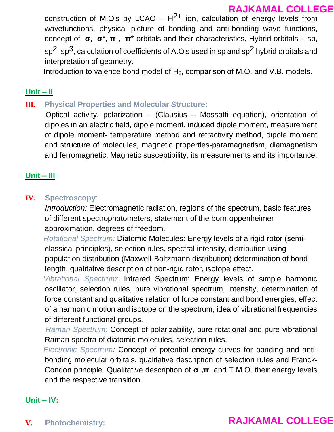construction of M.O's by LCAO –  $H^{2+}$  ion, calculation of energy levels from wavefunctions, physical picture of bonding and anti-bonding wave functions, concept of **σ, σ\*, π , π\*** orbitals and their characteristics, Hybrid orbitals – sp,  $sp<sup>2</sup>$ , sp<sup>3</sup>, calculation of coefficients of A.O's used in sp and sp<sup>2</sup> hybrid orbitals and interpretation of geometry.

Introduction to valence bond model of  $H_2$ , comparison of M.O. and V.B. models.

### **Unit – II**

**III. Physical Properties and Molecular Structure:**

 Optical activity, polarization – (Clausius – Mossotti equation), orientation of dipoles in an electric field, dipole moment, induced dipole moment, measurement of dipole moment- temperature method and refractivity method, dipole moment and structure of molecules, magnetic properties-paramagnetism, diamagnetism and ferromagnetic, Magnetic susceptibility, its measurements and its importance.

### **Unit – III**

### **IV. Spectroscopy**:

*Introduction:* Electromagnetic radiation, regions of the spectrum, basic features of different spectrophotometers, statement of the born-oppenheimer approximation, degrees of freedom.

 *Rotational Spectrum:* Diatomic Molecules: Energy levels of a rigid rotor (semiclassical principles), selection rules, spectral intensity, distribution using population distribution (Maxwell-Boltzmann distribution) determination of bond length, qualitative description of non-rigid rotor, isotope effect.

 *Vibrational Spectrum*: Infrared Spectrum: Energy levels of simple harmonic oscillator, selection rules, pure vibrational spectrum, intensity, determination of force constant and qualitative relation of force constant and bond energies, effect of a harmonic motion and isotope on the spectrum, idea of vibrational frequencies of different functional groups.

 *Raman Spectrum:* Concept of polarizability, pure rotational and pure vibrational Raman spectra of diatomic molecules, selection rules.

 *Electronic Spectrum:* Concept of potential energy curves for bonding and antibonding molecular orbitals, qualitative description of selection rules and Franck-Condon principle. Qualitative description of **σ ,π** and T M.O. their energy levels and the respective transition.

### **Unit – IV:**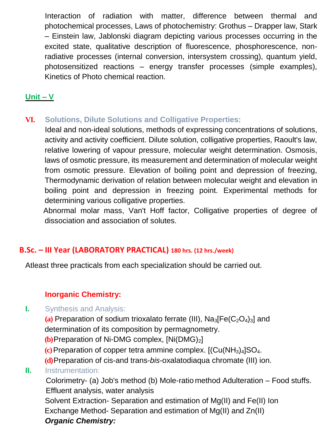Interaction of radiation with matter, difference between thermal and photochemical processes, Laws of photochemistry: Grothus – Drapper law, Stark – Einstein law, Jablonski diagram depicting various processes occurring in the excited state, qualitative description of fluorescence, phosphorescence, nonradiative processes (internal conversion, intersystem crossing), quantum yield, photosensitized reactions – energy transfer processes (simple examples), Kinetics of Photo chemical reaction.

### **Unit – V**

### **VI. Solutions, Dilute Solutions and Colligative Properties:**

Ideal and non-ideal solutions, methods of expressing concentrations of solutions, activity and activity coefficient. Dilute solution, colligative properties, Raoult's law, relative lowering of vapour pressure, molecular weight determination. Osmosis, laws of osmotic pressure, its measurement and determination of molecular weight from osmotic pressure. Elevation of boiling point and depression of freezing, Thermodynamic derivation of relation between molecular weight and elevation in boiling point and depression in freezing point. Experimental methods for determining various colligative properties.

 Abnormal molar mass, Van't Hoff factor, Colligative properties of degree of dissociation and association of solutes.

### **B.Sc. – III Year (LABORATORY PRACTICAL) 180 hrs. (12 hrs./week)**

Atleast three practicals from each specialization should be carried out.

### **Inorganic Chemistry:**

### **I.** Synthesis and Analysis:

 $(a)$  Preparation of sodium trioxalato ferrate (III),  $Na<sub>3</sub>[Fe(C<sub>2</sub>O<sub>4</sub>)<sub>3</sub>]$  and determination of its composition by permagnometry.

**(b)** Preparation of Ni-DMG complex,  $[Ni(DMG)<sub>2</sub>]$ 

 $(c)$  Preparation of copper tetra ammine complex.  $[(Cu(NH<sub>3</sub>)<sub>4</sub>]SO<sub>4</sub>$ .

**(d)**Preparation of cis-and trans-*bis*-oxalatodiaqua chromate (III) ion.

### **II.** Instrumentation:

 Colorimetry- (a) Job's method (b) Mole-ratio method Adulteration – Food stuffs. Effluent analysis, water analysis

Solvent Extraction- Separation and estimation of Mg(II) and Fe(II) Ion Exchange Method- Separation and estimation of Mg(II) and Zn(II) *Organic Chemistry:*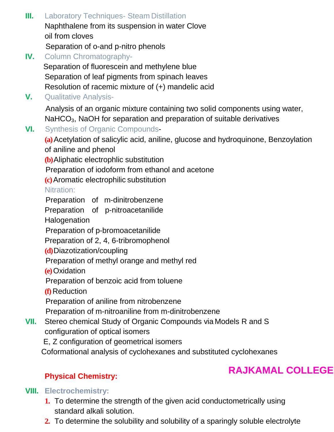- **III.** Laboratory Techniques- Steam Distillation Naphthalene from its suspension in water Clove oil from cloves Separation of o-and p-nitro phenols
- **IV.** Column Chromatography-

 Separation of fluorescein and methylene blue Separation of leaf pigments from spinach leaves Resolution of racemic mixture of (+) mandelic acid

**V.** Qualitative Analysis-

 Analysis of an organic mixture containing two solid components using water, NaHCO<sub>3</sub>, NaOH for separation and preparation of suitable derivatives

**VI.** Synthesis of Organic Compounds-

**(a)**Acetylation of salicylic acid, aniline, glucose and hydroquinone, Benzoylation of aniline and phenol

**(b)**Aliphatic electrophlic substitution

Preparation of iodoform from ethanol and acetone

**(c)**Aromatic electrophilic substitution

Nitration:

Preparation of m-dinitrobenzene

Preparation of p-nitroacetanilide

**Halogenation** 

Preparation of p-bromoacetanilide

Preparation of 2, 4, 6-tribromophenol

**(d)**Diazotization/coupling

Preparation of methyl orange and methyl red

**(e)**Oxidation

Preparation of benzoic acid from toluene

**(f)** Reduction

Preparation of aniline from nitrobenzene

Preparation of m-nitroaniline from m-dinitrobenzene

**VII.** Stereo chemical Study of Organic Compounds via Models R and S configuration of optical isomers

E, Z configuration of geometrical isomers

Coformational analysis of cyclohexanes and substituted cyclohexanes

## **Physical Chemistry:**

# **RAJKAMAL COLLEGE**

### **VIII. Electrochemistry:**

- **1.** To determine the strength of the given acid conductometrically using standard alkali solution.
- **2.** To determine the solubility and solubility of a sparingly soluble electrolyte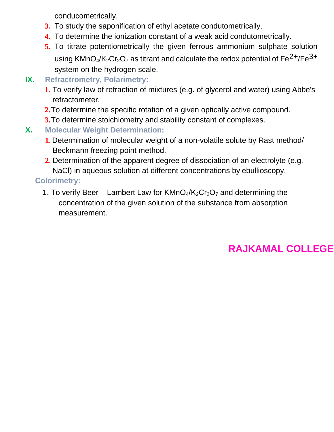conducometrically.

- **3.** To study the saponification of ethyl acetate condutometrically.
- **4.** To determine the ionization constant of a weak acid condutometrically.
- **5.** To titrate potentiometrically the given ferrous ammonium sulphate solution using KMnO<sub>4</sub>/K<sub>2</sub>Cr<sub>2</sub>O<sub>7</sub> as titrant and calculate the redox potential of  $Fe^{2+}/Fe^{3+}$ system on the hydrogen scale.
- **IX. Refractrometry, Polarimetry:**
	- **1.** To verify law of refraction of mixtures (e.g. of glycerol and water) using Abbe's refractometer.
	- **2.**To determine the specific rotation of a given optically active compound.
	- **3.**To determine stoichiometry and stability constant of complexes.
- **X. Molecular Weight Determination:**
	- **1.** Determination of molecular weight of a non-volatile solute by Rast method/ Beckmann freezing point method.
	- **2.** Determination of the apparent degree of dissociation of an electrolyte (e.g. NaCl) in aqueous solution at different concentrations by ebullioscopy.

## **Colorimetry:**

1. To verify Beer – Lambert Law for  $KMnO_4/K_2Cr_2O_7$  and determining the concentration of the given solution of the substance from absorption measurement.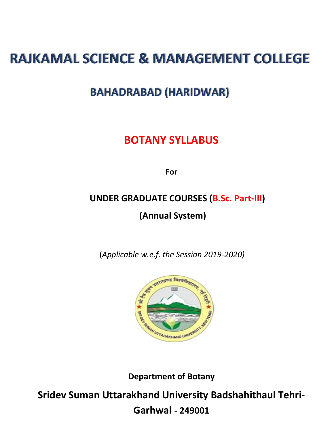# **RAJKAMAL SCIENCE & MANAGEMENT COLLEGE**

# **BAHADRABAD (HARIDWAR)**

# **BOTANY SYLLABUS**

**For**

# **UNDER GRADUATE COURSES (B.Sc. Part-III) (Annual System)**

(*Applicable w.e.f. the Session 2019-2020)*



**Department of Botany** 

**Sridev Suman Uttarakhand University Badshahithaul Tehri-**

**Garhwal - 249001**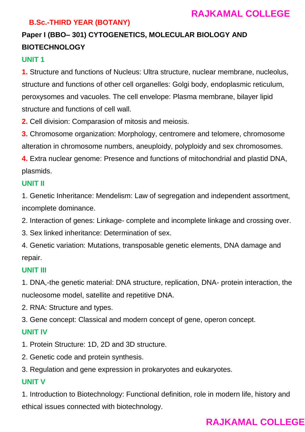### **B.Sc.-THIRD YEAR (BOTANY)**

# **Paper I (BBO– 301) CYTOGENETICS, MOLECULAR BIOLOGY AND BIOTECHNOLOGY**

### **UNIT 1**

**1.** Structure and functions of Nucleus: Ultra structure, nuclear membrane, nucleolus, structure and functions of other cell organelles: Golgi body, endoplasmic reticulum, peroxysomes and vacuoles. The cell envelope: Plasma membrane, bilayer lipid structure and functions of cell wall.

**2.** Cell division: Comparasion of mitosis and meiosis.

**3.** Chromosome organization: Morphology, centromere and telomere, chromosome alteration in chromosome numbers, aneuploidy, polyploidy and sex chromosomes.

**4.** Extra nuclear genome: Presence and functions of mitochondrial and plastid DNA, plasmids.

### **UNIT II**

1. Genetic Inheritance: Mendelism: Law of segregation and independent assortment, incomplete dominance.

2. Interaction of genes: Linkage- complete and incomplete linkage and crossing over.

3. Sex linked inheritance: Determination of sex.

4. Genetic variation: Mutations, transposable genetic elements, DNA damage and repair.

#### **UNIT III**

1. DNA,-the genetic material: DNA structure, replication, DNA- protein interaction, the nucleosome model, satellite and repetitive DNA.

2. RNA: Structure and types.

3. Gene concept: Classical and modern concept of gene, operon concept.

#### **UNIT IV**

1. Protein Structure: 1D, 2D and 3D structure.

2. Genetic code and protein synthesis.

3. Regulation and gene expression in prokaryotes and eukaryotes.

#### **UNIT V**

1. Introduction to Biotechnology: Functional definition, role in modern life, history and ethical issues connected with biotechnology.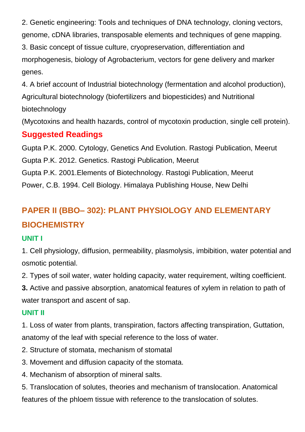2. Genetic engineering: Tools and techniques of DNA technology, cloning vectors, genome, cDNA libraries, transposable elements and techniques of gene mapping.

3. Basic concept of tissue culture, cryopreservation, differentiation and morphogenesis, biology of Agrobacterium, vectors for gene delivery and marker genes.

4. A brief account of Industrial biotechnology (fermentation and alcohol production), Agricultural biotechnology (biofertilizers and biopesticides) and Nutritional biotechnology

(Mycotoxins and health hazards, control of mycotoxin production, single cell protein).

## **Suggested Readings**

Gupta P.K. 2000. Cytology, Genetics And Evolution. Rastogi Publication, Meerut

Gupta P.K. 2012. Genetics. Rastogi Publication, Meerut

Gupta P.K. 2001.Elements of Biotechnology. Rastogi Publication, Meerut

Power, C.B. 1994. Cell Biology. Himalaya Publishing House, New Delhi

# **PAPER II (BBO– 302): PLANT PHYSIOLOGY AND ELEMENTARY BIOCHEMISTRY**

### **UNIT I**

1. Cell physiology, diffusion, permeability, plasmolysis, imbibition, water potential and osmotic potential.

2. Types of soil water, water holding capacity, water requirement, wilting coefficient.

**3.** Active and passive absorption, anatomical features of xylem in relation to path of water transport and ascent of sap.

### **UNIT II**

1. Loss of water from plants, transpiration, factors affecting transpiration, Guttation, anatomy of the leaf with special reference to the loss of water.

- 2. Structure of stomata, mechanism of stomatal
- 3. Movement and diffusion capacity of the stomata.
- 4. Mechanism of absorption of mineral salts.

5. Translocation of solutes, theories and mechanism of translocation. Anatomical features of the phloem tissue with reference to the translocation of solutes.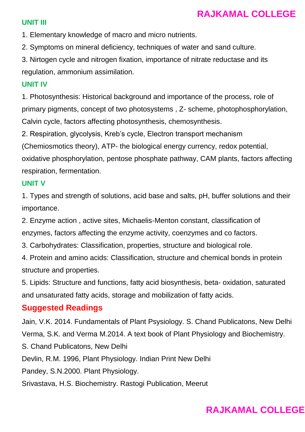#### **UNIT III**

1. Elementary knowledge of macro and micro nutrients.

2. Symptoms on mineral deficiency, techniques of water and sand culture.

3. Nirtogen cycle and nitrogen fixation, importance of nitrate reductase and its regulation, ammonium assimilation.

#### **UNIT IV**

1. Photosynthesis: Historical background and importance of the process, role of primary pigments, concept of two photosystems , Z- scheme, photophosphorylation, Calvin cycle, factors affecting photosynthesis, chemosynthesis.

2. Respiration, glycolysis, Kreb's cycle, Electron transport mechanism

(Chemiosmotics theory), ATP- the biological energy currency, redox potential,

oxidative phosphorylation, pentose phosphate pathway, CAM plants, factors affecting respiration, fermentation.

### **UNIT V**

1. Types and strength of solutions, acid base and salts, pH, buffer solutions and their importance.

2. Enzyme action , active sites, Michaelis-Menton constant, classification of enzymes, factors affecting the enzyme activity, coenzymes and co factors.

3. Carbohydrates: Classification, properties, structure and biological role.

4. Protein and amino acids: Classification, structure and chemical bonds in protein structure and properties.

5. Lipids: Structure and functions, fatty acid biosynthesis, beta- oxidation, saturated and unsaturated fatty acids, storage and mobilization of fatty acids.

### **Suggested Readings**

Jain, V.K. 2014. Fundamentals of Plant Psysiology. S. Chand Publicatons, New Delhi Verma, S.K. and Verma M.2014. A text book of Plant Physiology and Biochemistry. S. Chand Publicatons, New Delhi Devlin, R.M. 1996, Plant Physiology. Indian Print New Delhi Pandey, S.N.2000. Plant Physiology. Srivastava, H.S. Biochemistry. Rastogi Publication, Meerut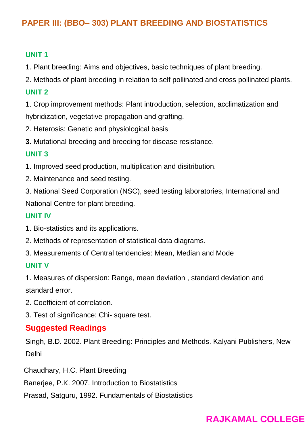# **PAPER III: (BBO– 303) PLANT BREEDING AND BIOSTATISTICS**

### **UNIT 1**

- 1. Plant breeding: Aims and objectives, basic techniques of plant breeding.
- 2. Methods of plant breeding in relation to self pollinated and cross pollinated plants.

### **UNIT 2**

1. Crop improvement methods: Plant introduction, selection, acclimatization and hybridization, vegetative propagation and grafting.

- 2. Heterosis: Genetic and physiological basis
- **3.** Mutational breeding and breeding for disease resistance.

### **UNIT 3**

- 1. Improved seed production, multiplication and disitribution.
- 2. Maintenance and seed testing.
- 3. National Seed Corporation (NSC), seed testing laboratories, International and National Centre for plant breeding.

### **UNIT IV**

- 1. Bio-statistics and its applications.
- 2. Methods of representation of statistical data diagrams.
- 3. Measurements of Central tendencies: Mean, Median and Mode

### **UNIT V**

1. Measures of dispersion: Range, mean deviation , standard deviation and standard error.

- 2. Coefficient of correlation.
- 3. Test of significance: Chi- square test.

### **Suggested Readings**

Singh, B.D. 2002. Plant Breeding: Principles and Methods. Kalyani Publishers, New Delhi

Chaudhary, H.C. Plant Breeding

Banerjee, P.K. 2007. Introduction to Biostatistics

Prasad, Satguru, 1992. Fundamentals of Biostatistics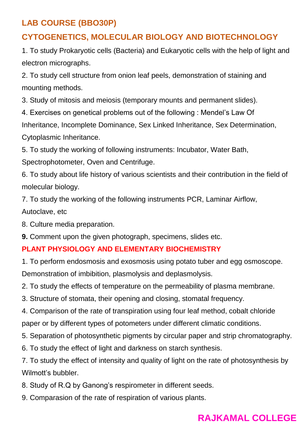# **LAB COURSE (BBO30P)**

# **CYTOGENETICS, MOLECULAR BIOLOGY AND BIOTECHNOLOGY**

1. To study Prokaryotic cells (Bacteria) and Eukaryotic cells with the help of light and electron micrographs.

2. To study cell structure from onion leaf peels, demonstration of staining and mounting methods.

3. Study of mitosis and meiosis (temporary mounts and permanent slides).

4. Exercises on genetical problems out of the following : Mendel's Law Of Inheritance, Incomplete Dominance, Sex Linked Inheritance, Sex Determination, Cytoplasmic Inheritance.

5. To study the working of following instruments: Incubator, Water Bath, Spectrophotometer, Oven and Centrifuge.

6. To study about life history of various scientists and their contribution in the field of molecular biology.

7. To study the working of the following instruments PCR, Laminar Airflow, Autoclave, etc

8. Culture media preparation.

**9.** Comment upon the given photograph, specimens, slides etc.

### **PLANT PHYSIOLOGY AND ELEMENTARY BIOCHEMISTRY**

1. To perform endosmosis and exosmosis using potato tuber and egg osmoscope. Demonstration of imbibition, plasmolysis and deplasmolysis.

2. To study the effects of temperature on the permeability of plasma membrane.

3. Structure of stomata, their opening and closing, stomatal frequency.

4. Comparison of the rate of transpiration using four leaf method, cobalt chloride paper or by different types of potometers under different climatic conditions.

5. Separation of photosynthetic pigments by circular paper and strip chromatography.

6. To study the effect of light and darkness on starch synthesis.

7. To study the effect of intensity and quality of light on the rate of photosynthesis by Wilmott's bubbler.

8. Study of R.Q by Ganong's respirometer in different seeds.

9. Comparasion of the rate of respiration of various plants.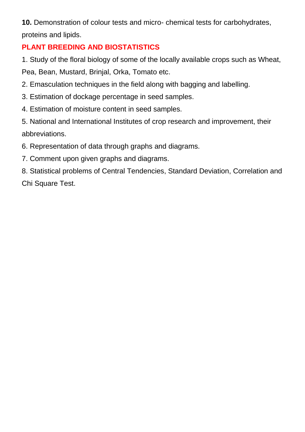**10.** Demonstration of colour tests and micro- chemical tests for carbohydrates, proteins and lipids.

### **PLANT BREEDING AND BIOSTATISTICS**

1. Study of the floral biology of some of the locally available crops such as Wheat, Pea, Bean, Mustard, Brinjal, Orka, Tomato etc.

- 2. Emasculation techniques in the field along with bagging and labelling.
- 3. Estimation of dockage percentage in seed samples.
- 4. Estimation of moisture content in seed samples.
- 5. National and International Institutes of crop research and improvement, their abbreviations.
- 6. Representation of data through graphs and diagrams.
- 7. Comment upon given graphs and diagrams.
- 8. Statistical problems of Central Tendencies, Standard Deviation, Correlation and Chi Square Test.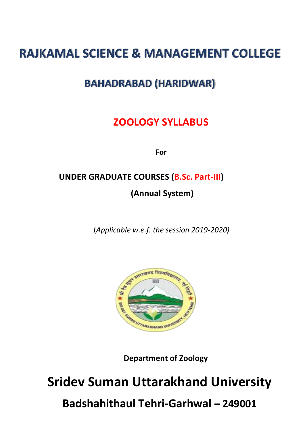# **RAJKAMAL SCIENCE & MANAGEMENT COLLEGE**

# **BAHADRABAD (HARIDWAR)**

# **ZOOLOGY SYLLABUS**

**For**

# **UNDER GRADUATE COURSES (B.Sc. Part-III)**

**(Annual System)**

(*Applicable w.e.f. the session 2019-2020)*



**Department of Zoology**

# **Sridev Suman Uttarakhand University Badshahithaul Tehri-Garhwal – 249001**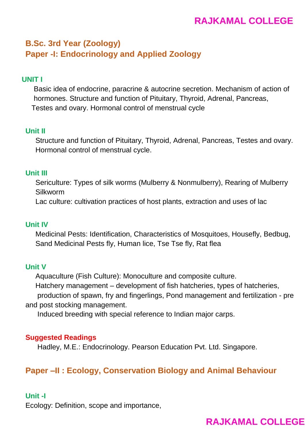# **B.Sc. 3rd Year (Zoology) Paper -I: Endocrinology and Applied Zoology**

#### **UNIT I**

 Basic idea of endocrine, paracrine & autocrine secretion. Mechanism of action of hormones. Structure and function of Pituitary, Thyroid, Adrenal, Pancreas, Testes and ovary. Hormonal control of menstrual cycle

#### **Unit II**

 Structure and function of Pituitary, Thyroid, Adrenal, Pancreas, Testes and ovary. Hormonal control of menstrual cycle.

#### **Unit III**

 Sericulture: Types of silk worms (Mulberry & Nonmulberry), Rearing of Mulberry Silkworm

Lac culture: cultivation practices of host plants, extraction and uses of lac

#### **Unit IV**

 Medicinal Pests: Identification, Characteristics of Mosquitoes, Housefly, Bedbug, Sand Medicinal Pests fly, Human lice, Tse Tse fly, Rat flea

#### **Unit V**

 Aquaculture (Fish Culture): Monoculture and composite culture. Hatchery management – development of fish hatcheries, types of hatcheries, production of spawn, fry and fingerlings, Pond management and fertilization - pre and post stocking management.

Induced breeding with special reference to Indian major carps.

#### **Suggested Readings**

Hadley, M.E.: Endocrinology. Pearson Education Pvt. Ltd. Singapore.

### **Paper –II : Ecology, Conservation Biology and Animal Behaviour**

#### **Unit -I**

Ecology: Definition, scope and importance,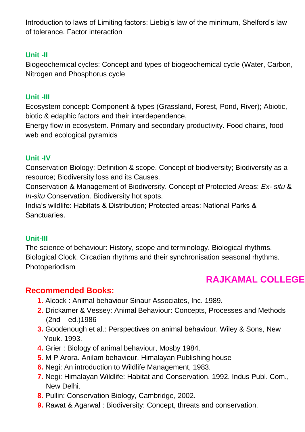Introduction to laws of Limiting factors: Liebig's law of the minimum, Shelford's law of tolerance. Factor interaction

### **Unit -II**

Biogeochemical cycles: Concept and types of biogeochemical cycle (Water, Carbon, Nitrogen and Phosphorus cycle

### **Unit -III**

Ecosystem concept: Component & types (Grassland, Forest, Pond, River); Abiotic, biotic & edaphic factors and their interdependence,

Energy flow in ecosystem. Primary and secondary productivity. Food chains, food web and ecological pyramids

### **Unit -IV**

Conservation Biology: Definition & scope. Concept of biodiversity; Biodiversity as a resource; Biodiversity loss and its Causes.

Conservation & Management of Biodiversity. Concept of Protected Areas: *Ex- situ* & *In-situ* Conservation. Biodiversity hot spots.

India's wildlife: Habitats & Distribution; Protected areas: National Parks & Sanctuaries.

### **Unit-III**

The science of behaviour: History, scope and terminology. Biological rhythms. Biological Clock. Circadian rhythms and their synchronisation seasonal rhythms. Photoperiodism

# **RAJKAMAL COLLEGE**

## **Recommended Books:**

- **1.** Alcock : Animal behaviour Sinaur Associates, Inc. 1989.
- **2.** Drickamer & Vessey: Animal Behaviour: Concepts, Processes and Methods (2nd ed.)1986
- **3.** Goodenough et al.: Perspectives on animal behaviour. Wiley & Sons, New Youk. 1993.
- **4.** Grier : Biology of animal behaviour, Mosby 1984.
- **5.** M P Arora. Anilam behaviour. Himalayan Publishing house
- **6.** Negi: An introduction to Wildlife Management, 1983.
- **7.** Negi: Himalayan Wildlife: Habitat and Conservation. 1992. Indus Publ. Com., New Delhi.
- **8.** Pullin: Conservation Biology, Cambridge, 2002.
- **9.** Rawat & Agarwal : Biodiversity: Concept, threats and conservation.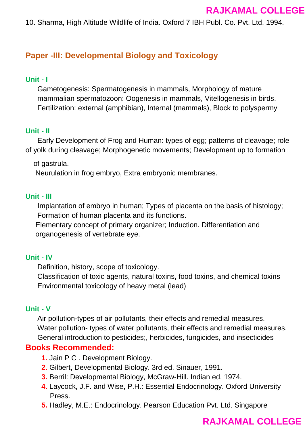10. Sharma, High Altitude Wildlife of India. Oxford 7 IBH Publ. Co. Pvt. Ltd. 1994.

### **Paper -III: Developmental Biology and Toxicology**

### **Unit - I**

 Gametogenesis: Spermatogenesis in mammals, Morphology of mature mammalian spermatozoon: Oogenesis in mammals, Vitellogenesis in birds. Fertilization: external (amphibian), Internal (mammals), Block to polyspermy

### **Unit - II**

 Early Development of Frog and Human: types of egg; patterns of cleavage; role of yolk during cleavage; Morphogenetic movements; Development up to formation

of gastrula.

Neurulation in frog embryo, Extra embryonic membranes.

### **Unit - III**

 Implantation of embryo in human; Types of placenta on the basis of histology; Formation of human placenta and its functions.

 Elementary concept of primary organizer; Induction. Differentiation and organogenesis of vertebrate eye.

### **Unit - IV**

Definition, history, scope of toxicology.

 Classification of toxic agents, natural toxins, food toxins, and chemical toxins Environmental toxicology of heavy metal (lead)

### **Unit - V**

 Air pollution-types of air pollutants, their effects and remedial measures. Water pollution- types of water pollutants, their effects and remedial measures. General introduction to pesticides;, herbicides, fungicides, and insecticides

### **Books Recommended:**

- **1.** Jain P C . Development Biology.
- **2.** Gilbert, Developmental Biology. 3rd ed. Sinauer, 1991.
- **3.** Berril: Developmental Biology, McGraw-Hill. Indian ed. 1974.
- **4.** Laycock, J.F. and Wise, P.H.: Essential Endocrinology. Oxford University Press.
- **5.** Hadley, M.E.: Endocrinology. Pearson Education Pvt. Ltd. Singapore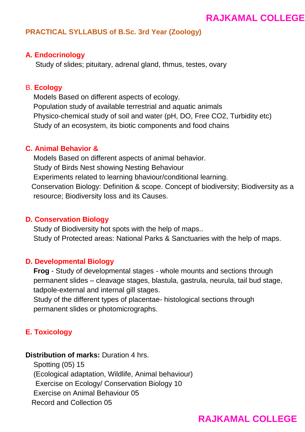### **PRACTICAL SYLLABUS of B.Sc. 3rd Year (Zoology)**

#### **A. Endocrinology**

Study of slides; pituitary, adrenal gland, thmus, testes, ovary

#### B. **Ecology**

 Models Based on different aspects of ecology. Population study of available terrestrial and aquatic animals Physico-chemical study of soil and water (pH, DO, Free CO2, Turbidity etc) Study of an ecosystem, its biotic components and food chains

#### **C. Animal Behavior &**

 Models Based on different aspects of animal behavior. Study of Birds Nest showing Nesting Behaviour Experiments related to learning bhaviour/conditional learning. Conservation Biology: Definition & scope. Concept of biodiversity; Biodiversity as a resource; Biodiversity loss and its Causes.

#### **D. Conservation Biology**

 Study of Biodiversity hot spots with the help of maps.. Study of Protected areas: National Parks & Sanctuaries with the help of maps.

#### **D. Developmental Biology**

 **Frog** - Study of developmental stages - whole mounts and sections through permanent slides – cleavage stages, blastula, gastrula, neurula, tail bud stage, tadpole-external and internal gill stages.

 Study of the different types of placentae- histological sections through permanent slides or photomicrographs.

### **E. Toxicology**

**Distribution of marks:** Duration 4 hrs.

 Spotting (05) 15 (Ecological adaptation, Wildlife, Animal behaviour) Exercise on Ecology/ Conservation Biology 10 Exercise on Animal Behaviour 05 Record and Collection 05